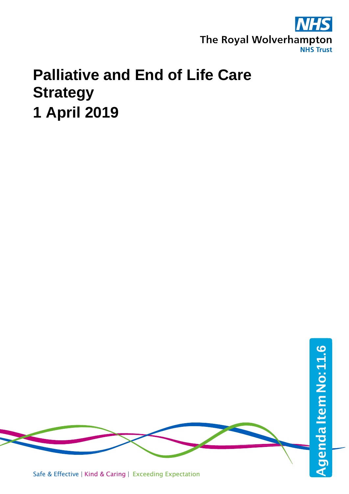

# **Palliative and End of Life Care Strategy 1 April 2019**



Safe & Effective | Kind & Caring | Exceeding Expectation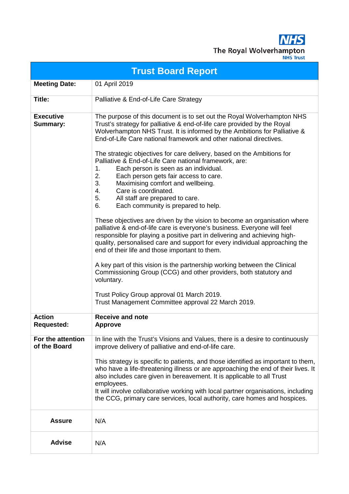| <b>Trust Board Report</b>          |                                                                                                                                                                                                                                                                                                                                                                                                                                                                                                                                                                                                                                                                                                                                                                                                                                                                                                                                                                                                                                                                                                                                                                                                                                                                                                                                                   |  |  |  |  |  |  |
|------------------------------------|---------------------------------------------------------------------------------------------------------------------------------------------------------------------------------------------------------------------------------------------------------------------------------------------------------------------------------------------------------------------------------------------------------------------------------------------------------------------------------------------------------------------------------------------------------------------------------------------------------------------------------------------------------------------------------------------------------------------------------------------------------------------------------------------------------------------------------------------------------------------------------------------------------------------------------------------------------------------------------------------------------------------------------------------------------------------------------------------------------------------------------------------------------------------------------------------------------------------------------------------------------------------------------------------------------------------------------------------------|--|--|--|--|--|--|
| <b>Meeting Date:</b>               | 01 April 2019                                                                                                                                                                                                                                                                                                                                                                                                                                                                                                                                                                                                                                                                                                                                                                                                                                                                                                                                                                                                                                                                                                                                                                                                                                                                                                                                     |  |  |  |  |  |  |
| Title:                             | Palliative & End-of-Life Care Strategy                                                                                                                                                                                                                                                                                                                                                                                                                                                                                                                                                                                                                                                                                                                                                                                                                                                                                                                                                                                                                                                                                                                                                                                                                                                                                                            |  |  |  |  |  |  |
| <b>Executive</b><br>Summary:       | The purpose of this document is to set out the Royal Wolverhampton NHS<br>Trust's strategy for palliative & end-of-life care provided by the Royal<br>Wolverhampton NHS Trust. It is informed by the Ambitions for Palliative &<br>End-of-Life Care national framework and other national directives.<br>The strategic objectives for care delivery, based on the Ambitions for<br>Palliative & End-of-Life Care national framework, are:<br>1.<br>Each person is seen as an individual.<br>2.<br>Each person gets fair access to care.<br>3.<br>Maximising comfort and wellbeing.<br>Care is coordinated.<br>4.<br>5.<br>All staff are prepared to care.<br>Each community is prepared to help.<br>6.<br>These objectives are driven by the vision to become an organisation where<br>palliative & end-of-life care is everyone's business. Everyone will feel<br>responsible for playing a positive part in delivering and achieving high-<br>quality, personalised care and support for every individual approaching the<br>end of their life and those important to them.<br>A key part of this vision is the partnership working between the Clinical<br>Commissioning Group (CCG) and other providers, both statutory and<br>voluntary.<br>Trust Policy Group approval 01 March 2019.<br>Trust Management Committee approval 22 March 2019. |  |  |  |  |  |  |
| <b>Action</b><br><b>Requested:</b> | <b>Receive and note</b><br>Approve                                                                                                                                                                                                                                                                                                                                                                                                                                                                                                                                                                                                                                                                                                                                                                                                                                                                                                                                                                                                                                                                                                                                                                                                                                                                                                                |  |  |  |  |  |  |
| For the attention<br>of the Board  | In line with the Trust's Visions and Values, there is a desire to continuously<br>improve delivery of palliative and end-of-life care.<br>This strategy is specific to patients, and those identified as important to them,<br>who have a life-threatening illness or are approaching the end of their lives. It<br>also includes care given in bereavement. It is applicable to all Trust<br>employees.<br>It will involve collaborative working with local partner organisations, including<br>the CCG, primary care services, local authority, care homes and hospices.                                                                                                                                                                                                                                                                                                                                                                                                                                                                                                                                                                                                                                                                                                                                                                        |  |  |  |  |  |  |
| <b>Assure</b>                      | N/A                                                                                                                                                                                                                                                                                                                                                                                                                                                                                                                                                                                                                                                                                                                                                                                                                                                                                                                                                                                                                                                                                                                                                                                                                                                                                                                                               |  |  |  |  |  |  |
| <b>Advise</b>                      | N/A                                                                                                                                                                                                                                                                                                                                                                                                                                                                                                                                                                                                                                                                                                                                                                                                                                                                                                                                                                                                                                                                                                                                                                                                                                                                                                                                               |  |  |  |  |  |  |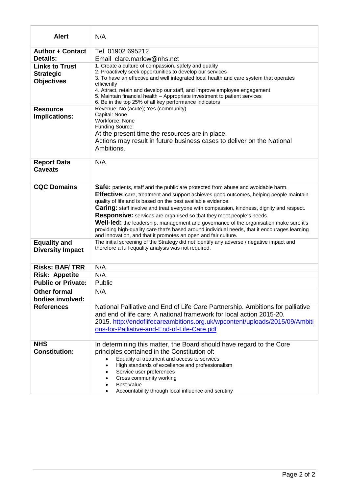| <b>Alert</b>                                                   | N/A                                                                                                                                                                                                                                                                                                                                                                                                                                                                                                                                                                                                                                                                                                                                                                             |
|----------------------------------------------------------------|---------------------------------------------------------------------------------------------------------------------------------------------------------------------------------------------------------------------------------------------------------------------------------------------------------------------------------------------------------------------------------------------------------------------------------------------------------------------------------------------------------------------------------------------------------------------------------------------------------------------------------------------------------------------------------------------------------------------------------------------------------------------------------|
| <b>Author + Contact</b>                                        | Tel 01902 695212                                                                                                                                                                                                                                                                                                                                                                                                                                                                                                                                                                                                                                                                                                                                                                |
| Details:                                                       | Email clare.marlow@nhs.net                                                                                                                                                                                                                                                                                                                                                                                                                                                                                                                                                                                                                                                                                                                                                      |
| <b>Links to Trust</b><br><b>Strategic</b><br><b>Objectives</b> | 1. Create a culture of compassion, safety and quality<br>2. Proactively seek opportunities to develop our services<br>3. To have an effective and well integrated local health and care system that operates<br>efficiently<br>4. Attract, retain and develop our staff, and improve employee engagement<br>5. Maintain financial health - Appropriate investment to patient services<br>6. Be in the top 25% of all key performance indicators                                                                                                                                                                                                                                                                                                                                 |
| <b>Resource</b><br>Implications:                               | Revenue: No (acute); Yes (community)<br>Capital: None<br><b>Workforce: None</b><br><b>Funding Source:</b><br>At the present time the resources are in place.<br>Actions may result in future business cases to deliver on the National<br>Ambitions.                                                                                                                                                                                                                                                                                                                                                                                                                                                                                                                            |
| <b>Report Data</b><br><b>Caveats</b>                           | N/A                                                                                                                                                                                                                                                                                                                                                                                                                                                                                                                                                                                                                                                                                                                                                                             |
| <b>CQC Domains</b><br><b>Equality and</b>                      | Safe: patients, staff and the public are protected from abuse and avoidable harm.<br>Effective: care, treatment and support achieves good outcomes, helping people maintain<br>quality of life and is based on the best available evidence.<br><b>Caring:</b> staff involve and treat everyone with compassion, kindness, dignity and respect.<br>Responsive: services are organised so that they meet people's needs.<br>Well-led: the leadership, management and governance of the organisation make sure it's<br>providing high-quality care that's based around individual needs, that it encourages learning<br>and innovation, and that it promotes an open and fair culture.<br>The initial screening of the Strategy did not identify any adverse / negative impact and |
| <b>Diversity Impact</b>                                        | therefore a full equality analysis was not required.                                                                                                                                                                                                                                                                                                                                                                                                                                                                                                                                                                                                                                                                                                                            |
| <b>Risks: BAF/TRR</b>                                          | N/A                                                                                                                                                                                                                                                                                                                                                                                                                                                                                                                                                                                                                                                                                                                                                                             |
| <b>Risk: Appetite</b>                                          | N/A                                                                                                                                                                                                                                                                                                                                                                                                                                                                                                                                                                                                                                                                                                                                                                             |
| <b>Public or Private:</b>                                      | Public                                                                                                                                                                                                                                                                                                                                                                                                                                                                                                                                                                                                                                                                                                                                                                          |
| <b>Other formal</b><br>bodies involved:                        | N/A                                                                                                                                                                                                                                                                                                                                                                                                                                                                                                                                                                                                                                                                                                                                                                             |
| <b>References</b>                                              | National Palliative and End of Life Care Partnership. Ambitions for palliative<br>and end of life care: A national framework for local action 2015-20.<br>2015. http://endoflifecareambitions.org.uk/wpcontent/uploads/2015/09/Ambiti<br>ons-for-Palliative-and-End-of-Life-Care.pdf                                                                                                                                                                                                                                                                                                                                                                                                                                                                                            |
| <b>NHS</b><br><b>Constitution:</b>                             | In determining this matter, the Board should have regard to the Core<br>principles contained in the Constitution of:<br>Equality of treatment and access to services<br>High standards of excellence and professionalism<br>Service user preferences<br>Cross community working<br><b>Best Value</b><br>Accountability through local influence and scrutiny                                                                                                                                                                                                                                                                                                                                                                                                                     |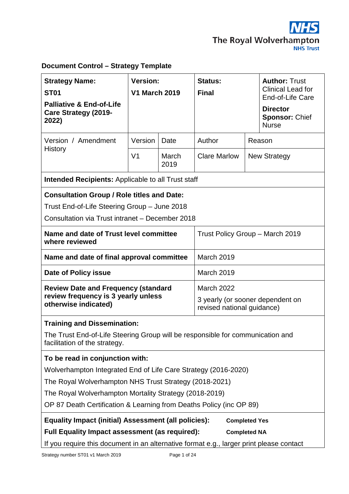### **Document Control – Strategy Template**

| <b>Strategy Name:</b><br><b>ST01</b><br><b>Palliative &amp; End-of-Life</b><br>Care Strategy (2019-<br>2022)    | <b>Version:</b><br><b>V1 March 2019</b>                |               | <b>Status:</b><br><b>Final</b>                                                      |        | <b>Author: Trust</b><br><b>Clinical Lead for</b><br>End-of-Life Care<br><b>Director</b><br><b>Sponsor: Chief</b><br><b>Nurse</b> |  |
|-----------------------------------------------------------------------------------------------------------------|--------------------------------------------------------|---------------|-------------------------------------------------------------------------------------|--------|----------------------------------------------------------------------------------------------------------------------------------|--|
| Version / Amendment                                                                                             | Version<br>Date                                        |               | Author                                                                              | Reason |                                                                                                                                  |  |
| <b>History</b>                                                                                                  | V <sub>1</sub>                                         | March<br>2019 | <b>Clare Marlow</b>                                                                 |        | <b>New Strategy</b>                                                                                                              |  |
| <b>Intended Recipients: Applicable to all Trust staff</b>                                                       |                                                        |               |                                                                                     |        |                                                                                                                                  |  |
| <b>Consultation Group / Role titles and Date:</b>                                                               |                                                        |               |                                                                                     |        |                                                                                                                                  |  |
| Trust End-of-Life Steering Group - June 2018                                                                    |                                                        |               |                                                                                     |        |                                                                                                                                  |  |
| Consultation via Trust intranet - December 2018                                                                 |                                                        |               |                                                                                     |        |                                                                                                                                  |  |
| Name and date of Trust level committee<br>where reviewed                                                        |                                                        |               | Trust Policy Group - March 2019                                                     |        |                                                                                                                                  |  |
| Name and date of final approval committee                                                                       |                                                        |               | <b>March 2019</b>                                                                   |        |                                                                                                                                  |  |
| Date of Policy issue                                                                                            |                                                        |               | <b>March 2019</b>                                                                   |        |                                                                                                                                  |  |
| <b>Review Date and Frequency (standard</b><br>review frequency is 3 yearly unless<br>otherwise indicated)       |                                                        |               | <b>March 2022</b><br>3 yearly (or sooner dependent on<br>revised national guidance) |        |                                                                                                                                  |  |
| <b>Training and Dissemination:</b>                                                                              |                                                        |               |                                                                                     |        |                                                                                                                                  |  |
| The Trust End-of-Life Steering Group will be responsible for communication and<br>facilitation of the strategy. |                                                        |               |                                                                                     |        |                                                                                                                                  |  |
| To be read in conjunction with:                                                                                 |                                                        |               |                                                                                     |        |                                                                                                                                  |  |
| Wolverhampton Integrated End of Life Care Strategy (2016-2020)                                                  |                                                        |               |                                                                                     |        |                                                                                                                                  |  |
| The Royal Wolverhampton NHS Trust Strategy (2018-2021)                                                          |                                                        |               |                                                                                     |        |                                                                                                                                  |  |
|                                                                                                                 | The Royal Wolverhampton Mortality Strategy (2018-2019) |               |                                                                                     |        |                                                                                                                                  |  |
| OP 87 Death Certification & Learning from Deaths Policy (inc OP 89)                                             |                                                        |               |                                                                                     |        |                                                                                                                                  |  |
| <b>Equality Impact (initial) Assessment (all policies):</b>                                                     |                                                        |               | <b>Completed Yes</b>                                                                |        |                                                                                                                                  |  |
| <b>Full Equality Impact assessment (as required):</b><br><b>Completed NA</b>                                    |                                                        |               |                                                                                     |        |                                                                                                                                  |  |
| If you require this document in an alternative format e.g., larger print please contact                         |                                                        |               |                                                                                     |        |                                                                                                                                  |  |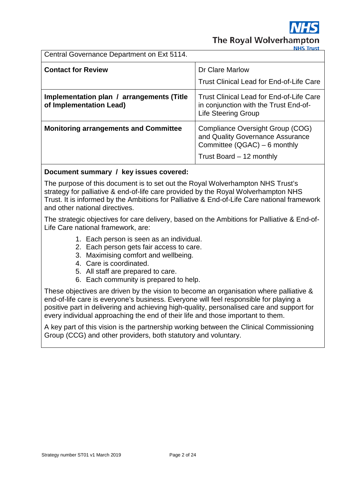**NHS Truct** 

| Central Governance Department on Ext 5114.                           |                                                                                                                                  |  |  |  |  |
|----------------------------------------------------------------------|----------------------------------------------------------------------------------------------------------------------------------|--|--|--|--|
| <b>Contact for Review</b>                                            | Dr Clare Marlow<br><b>Trust Clinical Lead for End-of-Life Care</b>                                                               |  |  |  |  |
| Implementation plan / arrangements (Title<br>of Implementation Lead) | <b>Trust Clinical Lead for End-of-Life Care</b><br>in conjunction with the Trust End-of-<br><b>Life Steering Group</b>           |  |  |  |  |
| <b>Monitoring arrangements and Committee</b>                         | Compliance Oversight Group (COG)<br>and Quality Governance Assurance<br>Committee (QGAC) - 6 monthly<br>Trust Board - 12 monthly |  |  |  |  |

#### **Document summary / key issues covered:**

The purpose of this document is to set out the Royal Wolverhampton NHS Trust's strategy for palliative & end-of-life care provided by the Royal Wolverhampton NHS Trust. It is informed by the Ambitions for Palliative & End-of-Life Care national framework and other national directives.

The strategic objectives for care delivery, based on the Ambitions for Palliative & End-of-Life Care national framework, are:

- 1. Each person is seen as an individual.
- 2. Each person gets fair access to care.
- 3. Maximising comfort and wellbeing.
- 4. Care is coordinated.
- 5. All staff are prepared to care.
- 6. Each community is prepared to help.

These objectives are driven by the vision to become an organisation where palliative & end-of-life care is everyone's business. Everyone will feel responsible for playing a positive part in delivering and achieving high-quality, personalised care and support for every individual approaching the end of their life and those important to them.

A key part of this vision is the partnership working between the Clinical Commissioning Group (CCG) and other providers, both statutory and voluntary.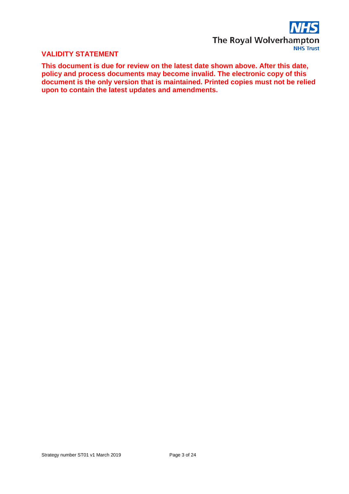#### **VALIDITY STATEMENT**

**This document is due for review on the latest date shown above. After this date, policy and process documents may become invalid. The electronic copy of this document is the only version that is maintained. Printed copies must not be relied upon to contain the latest updates and amendments.**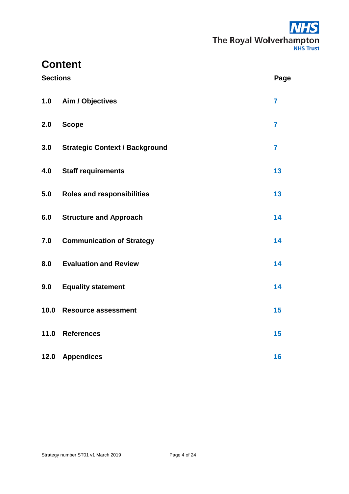### **Content**

| <b>Sections</b> |                                       | Page           |
|-----------------|---------------------------------------|----------------|
|                 | 1.0 Aim / Objectives                  | $\overline{7}$ |
| 2.0             | <b>Scope</b>                          | 7              |
| 3.0             | <b>Strategic Context / Background</b> | $\overline{7}$ |
| 4.0             | <b>Staff requirements</b>             | 13             |
|                 | 5.0 Roles and responsibilities        | 13             |
| 6.0             | <b>Structure and Approach</b>         | 14             |
|                 | 7.0 Communication of Strategy         | 14             |
|                 | 8.0 Evaluation and Review             | 14             |
| 9.0             | <b>Equality statement</b>             | 14             |
|                 | 10.0 Resource assessment              | 15             |
| 11.0            | <b>References</b>                     | 15             |
| 12.0            | <b>Appendices</b>                     | 16             |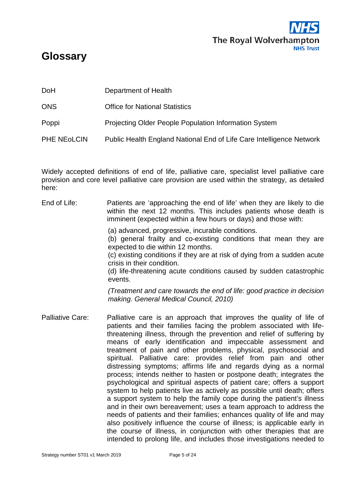

### **Glossary**

| DoH | Department of Health |
|-----|----------------------|
|-----|----------------------|

ONS Office for National Statistics

Poppi Projecting Older People Population Information System

PHE NEoLCIN Public Health England National End of Life Care Intelligence Network

Widely accepted definitions of end of life, palliative care, specialist level palliative care provision and core level palliative care provision are used within the strategy, as detailed here:

- End of Life: Patients are 'approaching the end of life' when they are likely to die within the next 12 months. This includes patients whose death is imminent (expected within a few hours or days) and those with:
	- (a) advanced, progressive, incurable conditions.

(b) general frailty and co-existing conditions that mean they are expected to die within 12 months.

(c) existing conditions if they are at risk of dying from a sudden acute crisis in their condition.

(d) life-threatening acute conditions caused by sudden catastrophic events.

*(Treatment and care towards the end of life: good practice in decision making. General Medical Council, 2010)*

Palliative Care: Palliative care is an approach that improves the quality of life of patients and their families facing the problem associated with lifethreatening illness, through the prevention and relief of suffering by means of early identification and impeccable assessment and treatment of pain and other problems, physical, psychosocial and spiritual. Palliative care: provides relief from pain and other distressing symptoms; affirms life and regards dying as a normal process; intends neither to hasten or postpone death; integrates the psychological and spiritual aspects of patient care; offers a support system to help patients live as actively as possible until death; offers a support system to help the family cope during the patient's illness and in their own bereavement; uses a team approach to address the needs of patients and their families; enhances quality of life and may also positively influence the course of illness; is applicable early in the course of illness, in conjunction with other therapies that are intended to prolong life, and includes those investigations needed to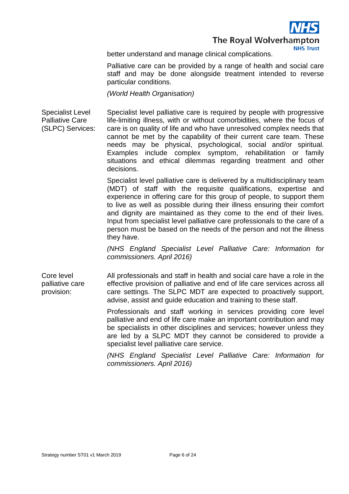

better understand and manage clinical complications.

Palliative care can be provided by a range of health and social care staff and may be done alongside treatment intended to reverse particular conditions.

*(World Health Organisation)*

Specialist Level Palliative Care (SLPC) Services: Specialist level palliative care is required by people with progressive life-limiting illness, with or without comorbidities, where the focus of care is on quality of life and who have unresolved complex needs that cannot be met by the capability of their current care team. These needs may be physical, psychological, social and/or spiritual. Examples include complex symptom, rehabilitation or family situations and ethical dilemmas regarding treatment and other decisions.

> Specialist level palliative care is delivered by a multidisciplinary team (MDT) of staff with the requisite qualifications, expertise and experience in offering care for this group of people, to support them to live as well as possible during their illness ensuring their comfort and dignity are maintained as they come to the end of their lives. Input from specialist level palliative care professionals to the care of a person must be based on the needs of the person and not the illness they have.

> *(NHS England Specialist Level Palliative Care: Information for commissioners. April 2016)*

Core level palliative care provision: All professionals and staff in health and social care have a role in the effective provision of palliative and end of life care services across all care settings. The SLPC MDT are expected to proactively support, advise, assist and guide education and training to these staff.

> Professionals and staff working in services providing core level palliative and end of life care make an important contribution and may be specialists in other disciplines and services; however unless they are led by a SLPC MDT they cannot be considered to provide a specialist level palliative care service.

> *(NHS England Specialist Level Palliative Care: Information for commissioners. April 2016)*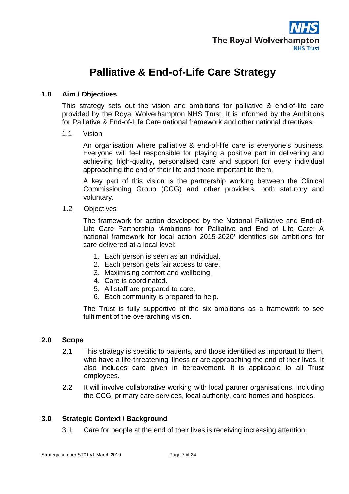

### **Palliative & End-of-Life Care Strategy**

#### **1.0 Aim / Objectives**

This strategy sets out the vision and ambitions for palliative & end-of-life care provided by the Royal Wolverhampton NHS Trust. It is informed by the Ambitions for Palliative & End-of-Life Care national framework and other national directives.

1.1 Vision

An organisation where palliative & end-of-life care is everyone's business. Everyone will feel responsible for playing a positive part in delivering and achieving high-quality, personalised care and support for every individual approaching the end of their life and those important to them.

A key part of this vision is the partnership working between the Clinical Commissioning Group (CCG) and other providers, both statutory and voluntary.

1.2 Objectives

The framework for action developed by the National Palliative and End-of-Life Care Partnership 'Ambitions for Palliative and End of Life Care: A national framework for local action 2015-2020' identifies six ambitions for care delivered at a local level:

- 1. Each person is seen as an individual.
- 2. Each person gets fair access to care.
- 3. Maximising comfort and wellbeing.
- 4. Care is coordinated.
- 5. All staff are prepared to care.
- 6. Each community is prepared to help.

The Trust is fully supportive of the six ambitions as a framework to see fulfilment of the overarching vision.

#### **2.0 Scope**

- 2.1 This strategy is specific to patients, and those identified as important to them, who have a life-threatening illness or are approaching the end of their lives. It also includes care given in bereavement. It is applicable to all Trust employees.
- 2.2 It will involve collaborative working with local partner organisations, including the CCG, primary care services, local authority, care homes and hospices.

#### **3.0 Strategic Context / Background**

3.1 Care for people at the end of their lives is receiving increasing attention.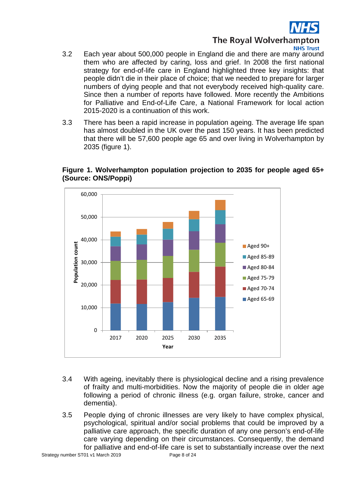

#### **NHS Trust**

- 3.2 Each year about 500,000 people in England die and there are many around them who are affected by caring, loss and grief. In 2008 the first national strategy for end-of-life care in England highlighted three key insights: that people didn't die in their place of choice; that we needed to prepare for larger numbers of dying people and that not everybody received high-quality care. Since then a number of reports have followed. More recently the Ambitions for Palliative and End-of-Life Care, a National Framework for local action 2015-2020 is a continuation of this work.
- 3.3 There has been a rapid increase in population ageing. The average life span has almost doubled in the UK over the past 150 years. It has been predicted that there will be 57,600 people age 65 and over living in Wolverhampton by 2035 (figure 1).



#### **Figure 1. Wolverhampton population projection to 2035 for people aged 65+ (Source: ONS/Poppi)**

- 3.4 With ageing, inevitably there is physiological decline and a rising prevalence of frailty and multi-morbidities. Now the majority of people die in older age following a period of chronic illness (e.g. organ failure, stroke, cancer and dementia).
- 3.5 People dying of chronic illnesses are very likely to have complex physical, psychological, spiritual and/or social problems that could be improved by a palliative care approach, the specific duration of any one person's end-of-life care varying depending on their circumstances. Consequently, the demand for palliative and end-of-life care is set to substantially increase over the next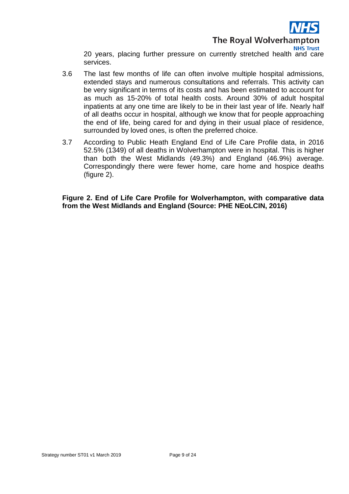

**NHS Trust** 

20 years, placing further pressure on currently stretched health and care services.

- 3.6 The last few months of life can often involve multiple hospital admissions, extended stays and numerous consultations and referrals. This activity can be very significant in terms of its costs and has been estimated to account for as much as 15-20% of total health costs. Around 30% of adult hospital inpatients at any one time are likely to be in their last year of life. Nearly half of all deaths occur in hospital, although we know that for people approaching the end of life, being cared for and dying in their usual place of residence, surrounded by loved ones, is often the preferred choice.
- 3.7 According to Public Heath England End of Life Care Profile data, in 2016 52.5% (1349) of all deaths in Wolverhampton were in hospital. This is higher than both the West Midlands (49.3%) and England (46.9%) average. Correspondingly there were fewer home, care home and hospice deaths (figure 2).

**Figure 2. End of Life Care Profile for Wolverhampton, with comparative data from the West Midlands and England (Source: PHE NEoLCIN, 2016)**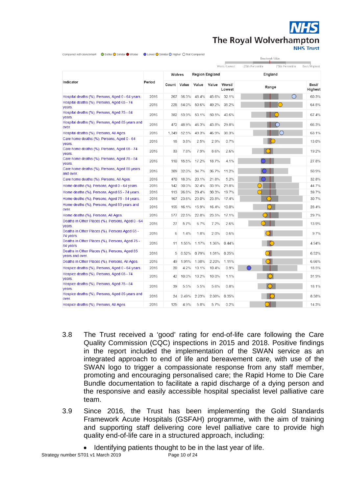## The Royal Wolverhampton **NHS Trust**

|                                                                 |        |               |       |                       |       |                  | Benchmark Value |                 |                         |
|-----------------------------------------------------------------|--------|---------------|-------|-----------------------|-------|------------------|-----------------|-----------------|-------------------------|
|                                                                 |        |               |       |                       |       | Worst/Lowest     | 25th Percentile | 75th Percentile | Best/Highest            |
|                                                                 |        | <b>Wolves</b> |       | <b>Region England</b> |       |                  | England         |                 |                         |
| Indicator                                                       | Period | Count         | Value | Value                 | Value | Worst/<br>Lowest |                 | Range           | Best/<br><b>Highest</b> |
| Hospital deaths (%), Persons, Aged 0 - 64 years.                | 2016   | 267           | 56.3% | 48.4%                 | 45.6% | 32.1%            |                 |                 | 60.3%                   |
| Hospital deaths (%), Persons, Aged 65 - 74<br>years.            | 2016   | 228           | 54.0% | 50.6%                 | 49.2% | 35.2%            |                 |                 | 64.5%                   |
| Hospital deaths (%), Persons, Aged 75 - 84<br>years.            | 2016   | 382           | 53.9% | 53.1%                 | 50.5% | 40.6%            |                 |                 | 67.4%                   |
| Hospital deaths (%), Persons, Aged 85 years and<br>over.        | 2016   | 472           | 48.9% | 46.3%                 | 43.8% | 29.8%            |                 |                 | 66.3%                   |
| Hospital deaths (%), Persons, All Ages.                         | 2016   | 1,349         | 52.5% | 49.3%                 | 46.9% | 38.3%            |                 |                 | 63.1%                   |
| Care home deaths (%), Persons, Aged 0 - 64<br>years.            | 2016   | 18            | 3.8%  | 2.5%                  | 2.9%  | 0.7%             |                 |                 | 13.0%                   |
| Care home deaths (%), Persons, Aged 65 - 74<br>years.           | 2016   | 33            | 7.8%  | 7.9%                  | 8.6%  | 2.6%             |                 |                 | 19.2%                   |
| Care home deaths (%), Persons, Aged 75 - 84<br>years.           | 2016   | 110           | 15.5% | 17.2%                 | 18.7% | 4.1%             |                 |                 | 27.8%                   |
| Care home deaths (%), Persons, Aged 85 years<br>and over.       | 2016   | 309           | 32.0% | 34.7%                 | 36.7% | 11.2%            |                 |                 | 50.9%                   |
| Care home deaths (%), Persons, All Ages.                        | 2016   | 470           | 18.3% | 20.1%                 | 21.8% | 5.2%             |                 |                 | 32.8%                   |
| Home deaths (%), Persons, Aged 0 - 64 years.                    | 2016   | 142           | 30.0% | 32.4%                 | 33.9% | 21.8%            |                 |                 | 44.7%                   |
| Home deaths (%), Persons, Aged 65 - 74 years.                   | 2016   | 113           | 26.8% | 29.4%                 | 30.3% | 19.7%            |                 |                 | 39.7%                   |
| Home deaths (%), Persons, Aged 75 - 84 years.                   | 2016   | 167           | 23.6% | 23.0%                 | 23.8% | 17.4%            |                 |                 | 30.7%                   |
| Home deaths (%), Persons, Aged 85 years and<br>over.            | 2016   | 155           | 16.1% | 15.9%                 | 16.4% | 10.0%            |                 |                 | 28.4%                   |
| Home deaths (%), Persons, All Ages.                             | 2016   | 577           | 22.5% | 22.8%                 | 23.5% | 17.1%            |                 |                 | 29.7%                   |
| Deaths in Other Places (%), Persons, Aged 0 - 64<br>years.      | 2016   | 27            | 5.7%  | 6.7%                  | 7.2%  | 2.6%             |                 |                 | 13.9%                   |
| Deaths in Other Places (%), Persons Aged 65 -<br>74 years.      | 2016   | 6             | 1.4%  | 1.8%                  | 2.0%  | 0.6%             |                 |                 | 9.7%                    |
| Deaths in Other Places (%), Persons, Aged 75 -<br>84 years      | 2016   | 11            | 1.55% | 1.17%                 | 1.36% | 0.44%            |                 |                 | 4.94%                   |
| Deaths in Other Places (%), Persons, Aged 85<br>years and over. | 2016   | 5             | 0.52% | 0.79%                 | 1.01% | 0.25%            |                 |                 | 6.52%                   |
| Deaths in Other Places (%), Persons, All Ages.                  | 2016   | 49            | 1.91% | 1.98%                 | 2.20% | 1.11%            |                 |                 | 6.66%                   |
| Hospice deaths (%), Persons, Aged 0 - 64 years.                 | 2016   | 20            | 4.2%  | 10.1%                 | 10.4% | 0.9%             |                 |                 | 18.5%                   |
| Hospice deaths (%), Persons, Aged 65 - 74<br>years.             | 2016   | 42            | 10.0% | 10.2%                 | 10.0% | 1.1%             |                 |                 | 31.9%                   |
| Hospice deaths (%), Persons, Aged 75 - 84<br>years.             | 2016   | 39            | 5.5%  | 5.5%                  | 5.6%  | 0.8%             |                 |                 | 18.1%                   |
| Hospice deaths (%), Persons, Aged 85 years and<br>over.         | 2016   | 24            | 2.49% | 2.23%                 | 2.08% | 0.35%            |                 |                 | 8.38%                   |
| Hospice deaths (%), Persons, All Ages.                          | 2016   | 125           | 4.9%  | 5.8%                  | 5.7%  | 0.2%             |                 |                 | 14.3%                   |

- 3.8 The Trust received a 'good' rating for end-of-life care following the Care Quality Commission (CQC) inspections in 2015 and 2018. Positive findings in the report included the implementation of the SWAN service as an integrated approach to end of life and bereavement care, with use of the SWAN logo to trigger a compassionate response from any staff member, promoting and encouraging personalised care; the Rapid Home to Die Care Bundle documentation to facilitate a rapid discharge of a dying person and the responsive and easily accessible hospital specialist level palliative care team.
- 3.9 Since 2016, the Trust has been implementing the Gold Standards Framework Acute Hospitals (GSFAH) programme, with the aim of training and supporting staff delivering core level palliative care to provide high quality end-of-life care in a structured approach, including:

<sup>•</sup> Identifying patients thought to be in the last year of life.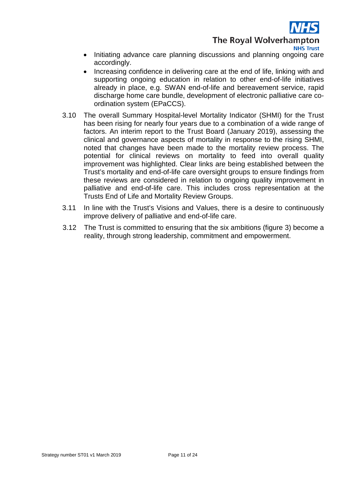- Initiating advance care planning discussions and planning ongoing care accordingly.
- Increasing confidence in delivering care at the end of life, linking with and supporting ongoing education in relation to other end-of-life initiatives already in place, e.g. SWAN end-of-life and bereavement service, rapid discharge home care bundle, development of electronic palliative care coordination system (EPaCCS).
- 3.10 The overall Summary Hospital-level Mortality Indicator (SHMI) for the Trust has been rising for nearly four years due to a combination of a wide range of factors. An interim report to the Trust Board (January 2019), assessing the clinical and governance aspects of mortality in response to the rising SHMI, noted that changes have been made to the mortality review process. The potential for clinical reviews on mortality to feed into overall quality improvement was highlighted. Clear links are being established between the Trust's mortality and end-of-life care oversight groups to ensure findings from these reviews are considered in relation to ongoing quality improvement in palliative and end-of-life care. This includes cross representation at the Trusts End of Life and Mortality Review Groups.
- 3.11 In line with the Trust's Visions and Values, there is a desire to continuously improve delivery of palliative and end-of-life care.
- 3.12 The Trust is committed to ensuring that the six ambitions (figure 3) become a reality, through strong leadership, commitment and empowerment.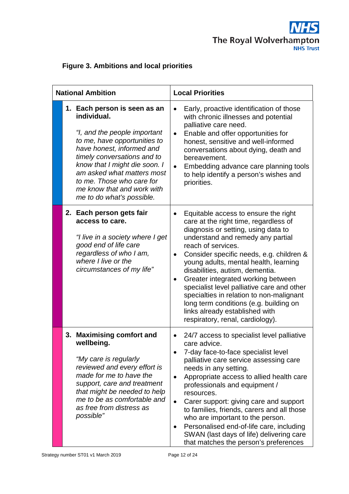|  | <b>Figure 3. Ambitions and local priorities</b> |  |  |
|--|-------------------------------------------------|--|--|
|--|-------------------------------------------------|--|--|

| <b>National Ambition</b>                                                                                                                                                                                                                                                                                                       | <b>Local Priorities</b>                                                                                                                                                                                                                                                                                                                                                                                                                                                                                                                                 |
|--------------------------------------------------------------------------------------------------------------------------------------------------------------------------------------------------------------------------------------------------------------------------------------------------------------------------------|---------------------------------------------------------------------------------------------------------------------------------------------------------------------------------------------------------------------------------------------------------------------------------------------------------------------------------------------------------------------------------------------------------------------------------------------------------------------------------------------------------------------------------------------------------|
| 1. Each person is seen as an<br>individual.<br>"I, and the people important<br>to me, have opportunities to<br>have honest, informed and<br>timely conversations and to<br>know that I might die soon. I<br>am asked what matters most<br>to me. Those who care for<br>me know that and work with<br>me to do what's possible. | Early, proactive identification of those<br>$\bullet$<br>with chronic illnesses and potential<br>palliative care need.<br>Enable and offer opportunities for<br>$\bullet$<br>honest, sensitive and well-informed<br>conversations about dying, death and<br>bereavement.<br>Embedding advance care planning tools<br>to help identify a person's wishes and<br>priorities.                                                                                                                                                                              |
| 2. Each person gets fair<br>access to care.<br>"I live in a society where I get<br>good end of life care<br>regardless of who I am,<br>where I live or the<br>circumstances of my life"                                                                                                                                        | Equitable access to ensure the right<br>care at the right time, regardless of<br>diagnosis or setting, using data to<br>understand and remedy any partial<br>reach of services.<br>Consider specific needs, e.g. children &<br>young adults, mental health, learning<br>disabilities, autism, dementia.<br>Greater integrated working between<br>specialist level palliative care and other<br>specialties in relation to non-malignant<br>long term conditions (e.g. building on<br>links already established with<br>respiratory, renal, cardiology). |
| 3. Maximising comfort and<br>wellbeing.<br>"My care is regularly<br>reviewed and every effort is<br>made for me to have the<br>support, care and treatment<br>that might be needed to help<br>me to be as comfortable and<br>as free from distress as<br>possible"                                                             | 24/7 access to specialist level palliative<br>care advice<br>7-day face-to-face specialist level<br>palliative care service assessing care<br>needs in any setting.<br>Appropriate access to allied health care<br>professionals and equipment /<br>resources.<br>Carer support: giving care and support<br>to families, friends, carers and all those<br>who are important to the person.<br>Personalised end-of-life care, including<br>SWAN (last days of life) delivering care<br>that matches the person's preferences                             |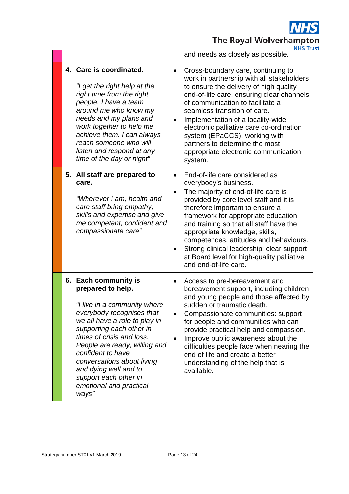| 11 <b>0111102011</b> |  |                  |  |
|----------------------|--|------------------|--|
|                      |  | <b>NHS Trust</b> |  |

|  |                                                                                                                                                                                                                                                                                                                                                                            |        | and needs as closely as possible.                                                                                                                                                                                                                                                                                                                                                                                                                             |
|--|----------------------------------------------------------------------------------------------------------------------------------------------------------------------------------------------------------------------------------------------------------------------------------------------------------------------------------------------------------------------------|--------|---------------------------------------------------------------------------------------------------------------------------------------------------------------------------------------------------------------------------------------------------------------------------------------------------------------------------------------------------------------------------------------------------------------------------------------------------------------|
|  | 4. Care is coordinated.<br>"I get the right help at the<br>right time from the right<br>people. I have a team<br>around me who know my<br>needs and my plans and<br>work together to help me<br>achieve them. I can always<br>reach someone who will<br>listen and respond at any<br>time of the day or night"                                                             | ٠      | Cross-boundary care, continuing to<br>work in partnership with all stakeholders<br>to ensure the delivery of high quality<br>end-of-life care, ensuring clear channels<br>of communication to facilitate a<br>seamless transition of care.<br>Implementation of a locality-wide<br>electronic palliative care co-ordination<br>system (EPaCCS), working with<br>partners to determine the most<br>appropriate electronic communication<br>system.             |
|  | 5. All staff are prepared to<br>care.<br>"Wherever I am, health and<br>care staff bring empathy,<br>skills and expertise and give<br>me competent, confident and<br>compassionate care"                                                                                                                                                                                    |        | End-of-life care considered as<br>everybody's business.<br>The majority of end-of-life care is<br>provided by core level staff and it is<br>therefore important to ensure a<br>framework for appropriate education<br>and training so that all staff have the<br>appropriate knowledge, skills,<br>competences, attitudes and behaviours.<br>Strong clinical leadership; clear support<br>at Board level for high-quality palliative<br>and end-of-life care. |
|  | 6. Each community is<br>prepared to help.<br>"I live in a community where<br>everybody recognises that<br>we all have a role to play in<br>supporting each other in<br>times of crisis and loss.<br>People are ready, willing and<br>confident to have<br>conversations about living<br>and dying well and to<br>support each other in<br>emotional and practical<br>ways" | ٠<br>٠ | Access to pre-bereavement and<br>bereavement support, including children<br>and young people and those affected by<br>sudden or traumatic death.<br>Compassionate communities: support<br>for people and communities who can<br>provide practical help and compassion.<br>Improve public awareness about the<br>difficulties people face when nearing the<br>end of life and create a better<br>understanding of the help that is<br>available.               |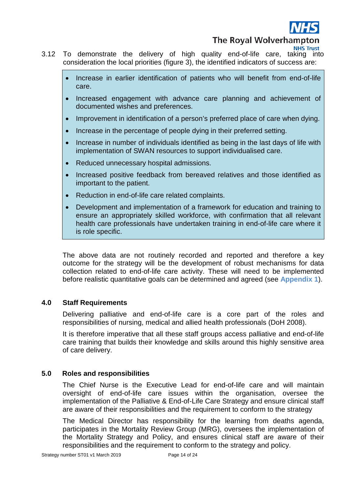

#### **NHS Trust**

- 3.12 To demonstrate the delivery of high quality end-of-life care, taking into consideration the local priorities (figure 3), the identified indicators of success are:
	- Increase in earlier identification of patients who will benefit from end-of-life care.
	- Increased engagement with advance care planning and achievement of documented wishes and preferences.
	- Improvement in identification of a person's preferred place of care when dying.
	- Increase in the percentage of people dying in their preferred setting.
	- Increase in number of individuals identified as being in the last days of life with implementation of SWAN resources to support individualised care.
	- Reduced unnecessary hospital admissions.
	- Increased positive feedback from bereaved relatives and those identified as important to the patient.
	- Reduction in end-of-life care related complaints.
	- Development and implementation of a framework for education and training to ensure an appropriately skilled workforce, with confirmation that all relevant health care professionals have undertaken training in end-of-life care where it is role specific.

The above data are not routinely recorded and reported and therefore a key outcome for the strategy will be the development of robust mechanisms for data collection related to end-of-life care activity. These will need to be implemented before realistic quantitative goals can be determined and agreed (see **Appendix 1**).

#### **4.0 Staff Requirements**

Delivering palliative and end-of-life care is a core part of the roles and responsibilities of nursing, medical and allied health professionals (DoH 2008).

It is therefore imperative that all these staff groups access palliative and end-of-life care training that builds their knowledge and skills around this highly sensitive area of care delivery.

#### **5.0 Roles and responsibilities**

The Chief Nurse is the Executive Lead for end-of-life care and will maintain oversight of end-of-life care issues within the organisation, oversee the implementation of the Palliative & End-of-Life Care Strategy and ensure clinical staff are aware of their responsibilities and the requirement to conform to the strategy

The Medical Director has responsibility for the learning from deaths agenda, participates in the Mortality Review Group (MRG), oversees the implementation of the Mortality Strategy and Policy, and ensures clinical staff are aware of their responsibilities and the requirement to conform to the strategy and policy.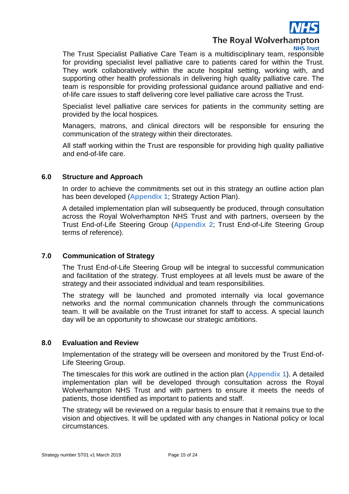

#### **NHS Trust**

The Trust Specialist Palliative Care Team is a multidisciplinary team, responsible for providing specialist level palliative care to patients cared for within the Trust. They work collaboratively within the acute hospital setting, working with, and supporting other health professionals in delivering high quality palliative care. The team is responsible for providing professional guidance around palliative and endof-life care issues to staff delivering core level palliative care across the Trust.

Specialist level palliative care services for patients in the community setting are provided by the local hospices.

Managers, matrons, and clinical directors will be responsible for ensuring the communication of the strategy within their directorates.

All staff working within the Trust are responsible for providing high quality palliative and end-of-life care.

#### **6.0 Structure and Approach**

In order to achieve the commitments set out in this strategy an outline action plan has been developed (**Appendix 1**; Strategy Action Plan).

A detailed implementation plan will subsequently be produced, through consultation across the Royal Wolverhampton NHS Trust and with partners, overseen by the Trust End-of-Life Steering Group (**Appendix 2**; Trust End-of-Life Steering Group terms of reference).

#### **7.0 Communication of Strategy**

The Trust End-of-Life Steering Group will be integral to successful communication and facilitation of the strategy. Trust employees at all levels must be aware of the strategy and their associated individual and team responsibilities.

The strategy will be launched and promoted internally via local governance networks and the normal communication channels through the communications team. It will be available on the Trust intranet for staff to access. A special launch day will be an opportunity to showcase our strategic ambitions.

#### **8.0 Evaluation and Review**

Implementation of the strategy will be overseen and monitored by the Trust End-of-Life Steering Group.

The timescales for this work are outlined in the action plan (**Appendix 1**). A detailed implementation plan will be developed through consultation across the Royal Wolverhampton NHS Trust and with partners to ensure it meets the needs of patients, those identified as important to patients and staff.

The strategy will be reviewed on a regular basis to ensure that it remains true to the vision and objectives. It will be updated with any changes in National policy or local circumstances.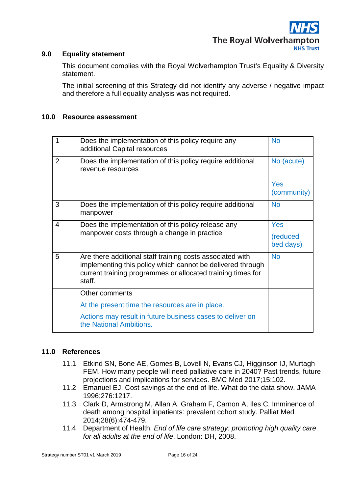#### **9.0 Equality statement**

This document complies with the Royal Wolverhampton Trust's Equality & Diversity statement.

The initial screening of this Strategy did not identify any adverse / negative impact and therefore a full equality analysis was not required.

#### **10.0 Resource assessment**

| $\mathbf 1$ | Does the implementation of this policy require any<br>additional Capital resources                                                                                                               | No                    |
|-------------|--------------------------------------------------------------------------------------------------------------------------------------------------------------------------------------------------|-----------------------|
| 2           | Does the implementation of this policy require additional<br>revenue resources                                                                                                                   | No (acute)            |
|             |                                                                                                                                                                                                  | Yes<br>(community)    |
| 3           | Does the implementation of this policy require additional<br>manpower                                                                                                                            | <b>No</b>             |
| 4           | Does the implementation of this policy release any                                                                                                                                               | <b>Yes</b>            |
|             | manpower costs through a change in practice                                                                                                                                                      | (reduced<br>bed days) |
| 5           | Are there additional staff training costs associated with<br>implementing this policy which cannot be delivered through<br>current training programmes or allocated training times for<br>staff. | <b>No</b>             |
|             | Other comments                                                                                                                                                                                   |                       |
|             | At the present time the resources are in place.                                                                                                                                                  |                       |
|             | Actions may result in future business cases to deliver on<br>the National Ambitions.                                                                                                             |                       |

#### **11.0 References**

- 11.1 Etkind SN, Bone AE, Gomes B, Lovell N, Evans CJ, Higginson IJ, Murtagh FEM. How many people will need palliative care in 2040? Past trends, future projections and implications for services. BMC Med 2017;15:102.
- 11.2 Emanuel EJ. Cost savings at the end of life. What do the data show. JAMA 1996;276:1217.
- 11.3 Clark D, Armstrong M, Allan A, Graham F, Carnon A, Iles C. Imminence of death among hospital inpatients: prevalent cohort study. Palliat Med 2014;28(6):474-479.
- 11.4 Department of Health. *End of life care strategy: promoting high quality care for all adults at the end of life*. London: DH, 2008.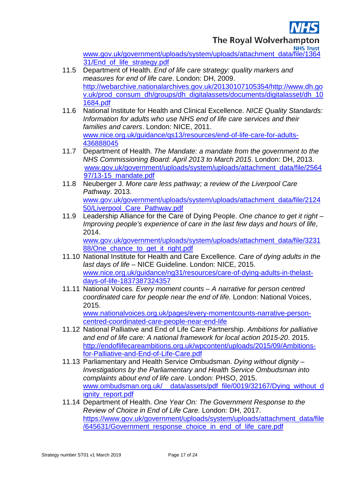**NHS Trust** 

[www.gov.uk/government/uploads/system/uploads/attachment\\_data/file/1364](http://www.gov.uk/government/uploads/system/uploads/attachment_data/file/136431/End_of_life_strategy.pdf) [31/End\\_of\\_life\\_strategy.pdf](http://www.gov.uk/government/uploads/system/uploads/attachment_data/file/136431/End_of_life_strategy.pdf)

- 11.5 Department of Health. *End of life care strategy: quality markers and measures for end of life care*. London: DH, 2009. [http://webarchive.nationalarchives.gov.uk/20130107105354/http://www.dh.go](http://webarchive.nationalarchives.gov.uk/20130107105354/http:/www.dh.gov.uk/prod_consum_dh/groups/dh_digitalassets/documents/digitalasset/dh_101684.pdf) [v.uk/prod\\_consum\\_dh/groups/dh\\_digitalassets/documents/digitalasset/dh\\_10](http://webarchive.nationalarchives.gov.uk/20130107105354/http:/www.dh.gov.uk/prod_consum_dh/groups/dh_digitalassets/documents/digitalasset/dh_101684.pdf) [1684.pdf](http://webarchive.nationalarchives.gov.uk/20130107105354/http:/www.dh.gov.uk/prod_consum_dh/groups/dh_digitalassets/documents/digitalasset/dh_101684.pdf)
- 11.6 National Institute for Health and Clinical Excellence. *NICE Quality Standards: Information for adults who use NHS end of life care services and their families and carers*. London: NICE, 2011. [www.nice.org.uk/guidance/qs13/resources/end-of-life-care-for-adults-](http://www.nice.org.uk/guidance/qs13/resources/end-of-life-care-for-adults-436888045)[436888045](http://www.nice.org.uk/guidance/qs13/resources/end-of-life-care-for-adults-436888045)
- 11.7 Department of Health. *The Mandate: a mandate from the government to the NHS Commissioning Board: April 2013 to March 2015*. London: DH, 2013. [www.gov.uk/government/uploads/system/uploads/attachment\\_data/file/2564](http://www.gov.uk/government/uploads/system/uploads/attachment_data/file/256497/13-15_mandate.pdf) [97/13-15\\_mandate.pdf](http://www.gov.uk/government/uploads/system/uploads/attachment_data/file/256497/13-15_mandate.pdf)
- 11.8 Neuberger J. *More care less pathway; a review of the Liverpool Care Pathway*. 2013. [www.gov.uk/government/uploads/system/uploads/attachment\\_data/file/2124](http://www.gov.uk/government/uploads/system/uploads/attachment_data/file/212450/Liverpool_Care_Pathway.pdf) [50/Liverpool\\_Care\\_Pathway.pdf](http://www.gov.uk/government/uploads/system/uploads/attachment_data/file/212450/Liverpool_Care_Pathway.pdf)
- 11.9 Leadership Alliance for the Care of Dying People. *One chance to get it right – Improving people's experience of care in the last few days and hours of life*, 2014. [www.gov.uk/government/uploads/system/uploads/attachment\\_data/file/3231](http://www.gov.uk/government/uploads/system/uploads/attachment_data/file/323188/One_chance_to_get_it_right.pdf)

[88/One\\_chance\\_to\\_get\\_it\\_right.pdf](http://www.gov.uk/government/uploads/system/uploads/attachment_data/file/323188/One_chance_to_get_it_right.pdf)

- 11.10 National Institute for Health and Care Excellence. *Care of dying adults in the last days of life* – NICE Guideline. London: NICE, 2015. [www.nice.org.uk/guidance/ng31/resources/care-of-dying-adults-in-thelast](http://www.nice.org.uk/guidance/ng31/resources/care-of-dying-adults-in-thelast-days-of-life-1837387324357)[days-of-life-1837387324357](http://www.nice.org.uk/guidance/ng31/resources/care-of-dying-adults-in-thelast-days-of-life-1837387324357)
- 11.11 National Voices*. Every moment counts – A narrative for person centred coordinated care for people near the end of life.* London: National Voices, 2015.

[www.nationalvoices.org.uk/pages/every-momentcounts-narrative-person](http://www.nationalvoices.org.uk/pages/every-momentcounts-narrative-person-centred-coordinated-care-people-near-end-life)[centred-coordinated-care-people-near-end-life](http://www.nationalvoices.org.uk/pages/every-momentcounts-narrative-person-centred-coordinated-care-people-near-end-life)

- 11.12 National Palliative and End of Life Care Partnership. *Ambitions for palliative and end of life care: A national framework for local action 2015-20*. 2015. [http://endoflifecareambitions.org.uk/wpcontent/uploads/2015/09/Ambitions](http://endoflifecareambitions.org.uk/wpcontent/uploads/2015/09/Ambitions-for-Palliative-and-End-of-Life-Care.pdf)[for-Palliative-and-End-of-Life-Care.pdf](http://endoflifecareambitions.org.uk/wpcontent/uploads/2015/09/Ambitions-for-Palliative-and-End-of-Life-Care.pdf)
- 11.13 Parliamentary and Health Service Ombudsman. *Dying without dignity – Investigations by the Parliamentary and Health Service Ombudsman into complaints about end of life care*. London: PHSO, 2015. www.ombudsman.org.uk/ data/assets/pdf file/0019/32167/Dying\_without\_d [ignity\\_report.pdf](http://www.ombudsman.org.uk/__data/assets/pdf_file/0019/32167/Dying_without_dignity_report.pdf)
- 11.14 Department of Health. *One Year On: The Government Response to the Review of Choice in End of Life Care.* London: DH, 2017. [https://www.gov.uk/government/uploads/system/uploads/attachment\\_data/file](https://www.gov.uk/government/uploads/system/uploads/attachment_data/file/645631/Government_response_choice_in_end_of_life_care.pdf) [/645631/Government\\_response\\_choice\\_in\\_end\\_of\\_life\\_care.pdf](https://www.gov.uk/government/uploads/system/uploads/attachment_data/file/645631/Government_response_choice_in_end_of_life_care.pdf)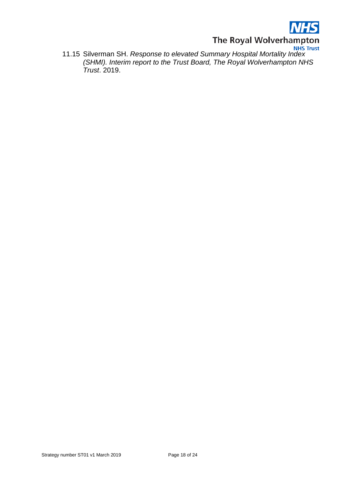

11.15 Silverman SH. *Response to elevated Summary Hospital Mortality Index*<br>SHMI) Interim renort to the Trust Pears' The Devillian Wortality Index *(SHMI). Interim report to the Trust Board, The Royal Wolverhampton NHS Trust*. 2019.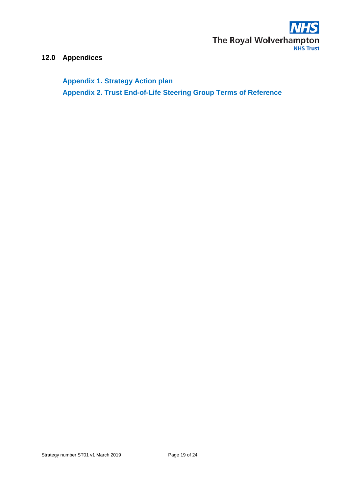

#### **12.0 Appendices**

**Appendix 1. Strategy Action plan Appendix 2. Trust End-of-Life Steering Group Terms of Reference**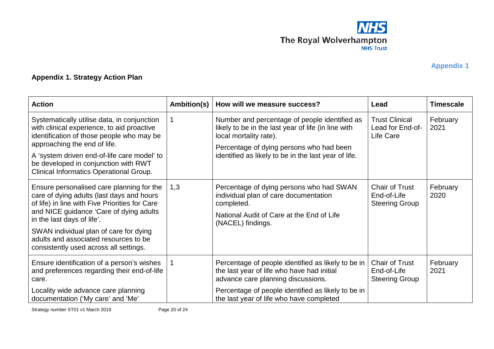

#### **Appendix 1. Strategy Action Plan**

| <b>Action</b>                                                                                                                                                                                                                                                                                                                                  | <b>Ambition(s)</b> | How will we measure success?                                                                                                                                                                                                             | Lead                                                          | <b>Timescale</b> |
|------------------------------------------------------------------------------------------------------------------------------------------------------------------------------------------------------------------------------------------------------------------------------------------------------------------------------------------------|--------------------|------------------------------------------------------------------------------------------------------------------------------------------------------------------------------------------------------------------------------------------|---------------------------------------------------------------|------------------|
| Systematically utilise data, in conjunction<br>with clinical experience, to aid proactive<br>identification of those people who may be<br>approaching the end of life.<br>A 'system driven end-of-life care model' to<br>be developed in conjunction with RWT<br>Clinical Informatics Operational Group.                                       |                    | Number and percentage of people identified as<br>likely to be in the last year of life (in line with<br>local mortality rate).<br>Percentage of dying persons who had been<br>identified as likely to be in the last year of life.       | <b>Trust Clinical</b><br>Lead for End-of-<br>Life Care        | February<br>2021 |
| Ensure personalised care planning for the<br>care of dying adults (last days and hours<br>of life) in line with Five Priorities for Care<br>and NICE guidance 'Care of dying adults<br>in the last days of life'.<br>SWAN individual plan of care for dying<br>adults and associated resources to be<br>consistently used across all settings. | 1,3                | Percentage of dying persons who had SWAN<br>individual plan of care documentation<br>completed.<br>National Audit of Care at the End of Life<br>(NACEL) findings.                                                                        | <b>Chair of Trust</b><br>End-of-Life<br><b>Steering Group</b> | February<br>2020 |
| Ensure identification of a person's wishes<br>and preferences regarding their end-of-life<br>care.<br>Locality wide advance care planning<br>documentation ('My care' and 'Me'                                                                                                                                                                 |                    | Percentage of people identified as likely to be in<br>the last year of life who have had initial<br>advance care planning discussions.<br>Percentage of people identified as likely to be in<br>the last year of life who have completed | <b>Chair of Trust</b><br>End-of-Life<br><b>Steering Group</b> | February<br>2021 |

Strategy number ST01 v1 March 2019 Page 20 of 24

**Appendix 1**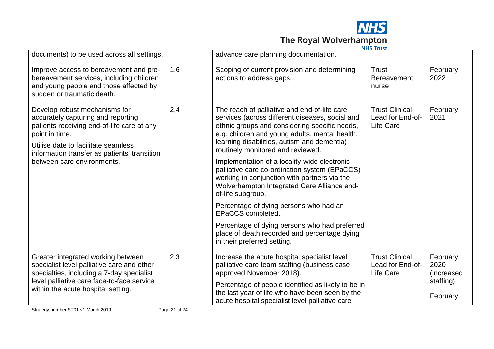

|                                                                                                                                                                                                                                                          |     |                                                                                                                                                                                                                                                                                        | <b>NHS</b> Trust                                       |                                                     |
|----------------------------------------------------------------------------------------------------------------------------------------------------------------------------------------------------------------------------------------------------------|-----|----------------------------------------------------------------------------------------------------------------------------------------------------------------------------------------------------------------------------------------------------------------------------------------|--------------------------------------------------------|-----------------------------------------------------|
| documents) to be used across all settings.                                                                                                                                                                                                               |     | advance care planning documentation.                                                                                                                                                                                                                                                   |                                                        |                                                     |
| Improve access to bereavement and pre-<br>bereavement services, including children<br>and young people and those affected by<br>sudden or traumatic death.                                                                                               | 1,6 | Scoping of current provision and determining<br>actions to address gaps.                                                                                                                                                                                                               | <b>Trust</b><br><b>Bereavement</b><br>nurse            | February<br>2022                                    |
| Develop robust mechanisms for<br>accurately capturing and reporting<br>patients receiving end-of-life care at any<br>point in time.<br>Utilise date to facilitate seamless<br>information transfer as patients' transition<br>between care environments. | 2,4 | The reach of palliative and end-of-life care<br>services (across different diseases, social and<br>ethnic groups and considering specific needs,<br>e.g. children and young adults, mental health,<br>learning disabilities, autism and dementia)<br>routinely monitored and reviewed. | <b>Trust Clinical</b><br>Lead for End-of-<br>Life Care | February<br>2021                                    |
|                                                                                                                                                                                                                                                          |     | Implementation of a locality-wide electronic<br>palliative care co-ordination system (EPaCCS)<br>working in conjunction with partners via the<br>Wolverhampton Integrated Care Alliance end-<br>of-life subgroup.                                                                      |                                                        |                                                     |
|                                                                                                                                                                                                                                                          |     | Percentage of dying persons who had an<br>EPaCCS completed.                                                                                                                                                                                                                            |                                                        |                                                     |
|                                                                                                                                                                                                                                                          |     | Percentage of dying persons who had preferred<br>place of death recorded and percentage dying<br>in their preferred setting.                                                                                                                                                           |                                                        |                                                     |
| Greater integrated working between<br>specialist level palliative care and other<br>specialties, including a 7-day specialist<br>level palliative care face-to-face service<br>within the acute hospital setting.                                        | 2,3 | Increase the acute hospital specialist level<br>palliative care team staffing (business case<br>approved November 2018).<br>Percentage of people identified as likely to be in                                                                                                         | <b>Trust Clinical</b><br>Lead for End-of-<br>Life Care | February<br>2020<br><i>(increased)</i><br>staffing) |
|                                                                                                                                                                                                                                                          |     | the last year of life who have been seen by the<br>acute hospital specialist level palliative care                                                                                                                                                                                     |                                                        | February                                            |

Strategy number ST01 v1 March 2019 Page 21 of 24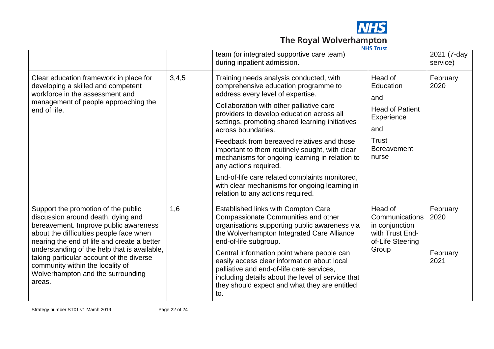

|                                                                                                                                                                                                                                                                                                                                                                                             |       |                                                                                                                                                                                                                                                                                                                                                                                                                                                                                                                     | <b>NHS Trust</b>                                                                                                          |                                      |  |
|---------------------------------------------------------------------------------------------------------------------------------------------------------------------------------------------------------------------------------------------------------------------------------------------------------------------------------------------------------------------------------------------|-------|---------------------------------------------------------------------------------------------------------------------------------------------------------------------------------------------------------------------------------------------------------------------------------------------------------------------------------------------------------------------------------------------------------------------------------------------------------------------------------------------------------------------|---------------------------------------------------------------------------------------------------------------------------|--------------------------------------|--|
|                                                                                                                                                                                                                                                                                                                                                                                             |       | team (or integrated supportive care team)<br>during inpatient admission.                                                                                                                                                                                                                                                                                                                                                                                                                                            |                                                                                                                           | 2021 (7-day<br>service)              |  |
| Clear education framework in place for<br>developing a skilled and competent<br>workforce in the assessment and<br>management of people approaching the<br>end of life.                                                                                                                                                                                                                     | 3,4,5 | Training needs analysis conducted, with<br>comprehensive education programme to<br>address every level of expertise.<br>Collaboration with other palliative care<br>providers to develop education across all<br>settings, promoting shared learning initiatives<br>across boundaries.<br>Feedback from bereaved relatives and those<br>important to them routinely sought, with clear<br>mechanisms for ongoing learning in relation to<br>any actions required.<br>End-of-life care related complaints monitored, | Head of<br>Education<br>and<br><b>Head of Patient</b><br>Experience<br>and<br><b>Trust</b><br><b>Bereavement</b><br>nurse | February<br>2020                     |  |
|                                                                                                                                                                                                                                                                                                                                                                                             |       | with clear mechanisms for ongoing learning in<br>relation to any actions required.                                                                                                                                                                                                                                                                                                                                                                                                                                  |                                                                                                                           |                                      |  |
| Support the promotion of the public<br>discussion around death, dying and<br>bereavement. Improve public awareness<br>about the difficulties people face when<br>nearing the end of life and create a better<br>understanding of the help that is available,<br>taking particular account of the diverse<br>community within the locality of<br>Wolverhampton and the surrounding<br>areas. | 1,6   | Established links with Compton Care<br>Compassionate Communities and other<br>organisations supporting public awareness via<br>the Wolverhampton Integrated Care Alliance<br>end-of-life subgroup.<br>Central information point where people can<br>easily access clear information about local<br>palliative and end-of-life care services,<br>including details about the level of service that<br>they should expect and what they are entitled<br>to.                                                           | Head of<br>Communications<br>in conjunction<br>with Trust End-<br>of-Life Steering<br>Group                               | February<br>2020<br>February<br>2021 |  |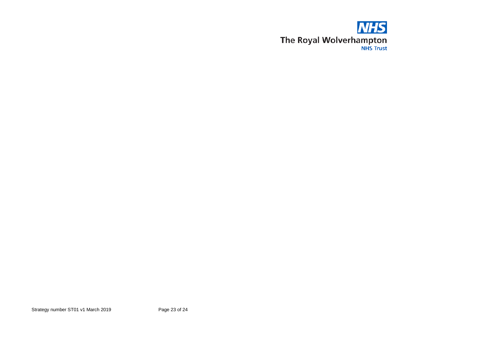